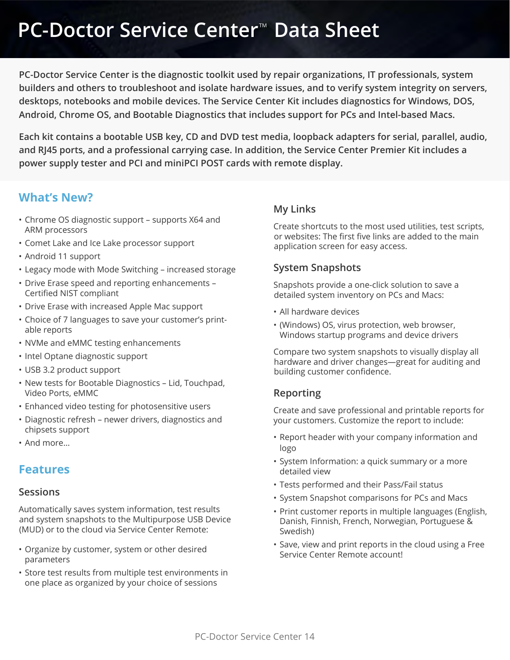**PC-Doctor Service Center is the diagnostic toolkit used by repair organizations, IT professionals, system builders and others to troubleshoot and isolate hardware issues, and to verify system integrity on servers, desktops, notebooks and mobile devices. The Service Center Kit includes diagnostics for Windows, DOS, Android, Chrome OS, and Bootable Diagnostics that includes support for PCs and Intel-based Macs.**

**Each kit contains a bootable USB key, CD and DVD test media, loopback adapters for serial, parallel, audio, and RJ45 ports, and a professional carrying case. In addition, the Service Center Premier Kit includes a power supply tester and PCI and miniPCI POST cards with remote display.**

## **What's New?**

- Chrome OS diagnostic support supports X64 and ARM processors
- Comet Lake and Ice Lake processor support
- Android 11 support
- Legacy mode with Mode Switching increased storage
- Drive Erase speed and reporting enhancements Certified NIST compliant
- Drive Erase with increased Apple Mac support
- Choice of 7 languages to save your customer's printable reports
- NVMe and eMMC testing enhancements
- Intel Optane diagnostic support
- USB 3.2 product support
- New tests for Bootable Diagnostics Lid, Touchpad, Video Ports, eMMC
- Enhanced video testing for photosensitive users
- Diagnostic refresh newer drivers, diagnostics and chipsets support
- And more…

## **Features**

#### **Sessions**

Automatically saves system information, test results and system snapshots to the Multipurpose USB Device (MUD) or to the cloud via Service Center Remote:

- Organize by customer, system or other desired parameters
- Store test results from multiple test environments in one place as organized by your choice of sessions

### **My Links**

Create shortcuts to the most used utilities, test scripts, or websites: The first five links are added to the main application screen for easy access.

### **System Snapshots**

Snapshots provide a one-click solution to save a detailed system inventory on PCs and Macs:

- All hardware devices
- (Windows) OS, virus protection, web browser, Windows startup programs and device drivers

Compare two system snapshots to visually display all hardware and driver changes—great for auditing and building customer confidence.

## **Reporting**

Create and save professional and printable reports for your customers. Customize the report to include:

- Report header with your company information and logo
- System Information: a quick summary or a more detailed view
- Tests performed and their Pass/Fail status
- System Snapshot comparisons for PCs and Macs
- Print customer reports in multiple languages (English, Danish, Finnish, French, Norwegian, Portuguese & Swedish)
- Save, view and print reports in the cloud using a Free Service Center Remote account!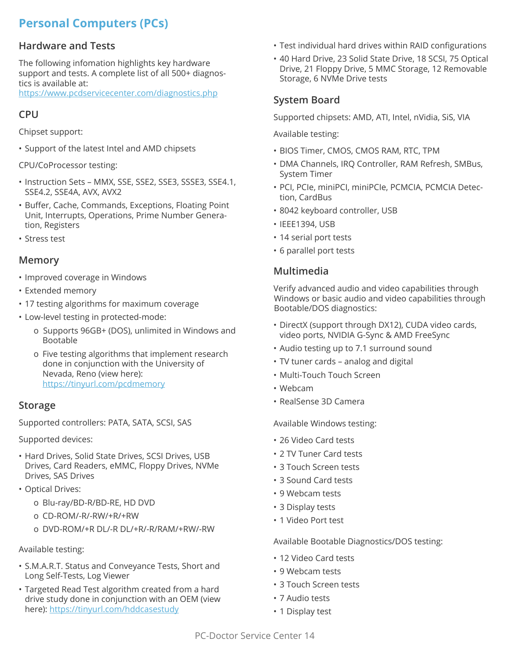## **Personal Computers (PCs)**

### **Hardware and Tests**

The following infomation highlights key hardware support and tests. A complete list of all 500+ diagnostics is available at:

https://www.pcdservicecenter.com/diagnostics.php.

### **CPU**

Chipset support:

- Support of the latest Intel and AMD chipsets
- CPU/CoProcessor testing:
- Instruction Sets MMX, SSE, SSE2, SSE3, SSSE3, SSE4.1, SSE4.2, SSE4A, AVX, AVX2
- Buffer, Cache, Commands, Exceptions, Floating Point Unit, Interrupts, Operations, Prime Number Generation, Registers
- Stress test

#### **Memory**

- Improved coverage in Windows
- Extended memory
- 17 testing algorithms for maximum coverage
- Low-level testing in protected-mode:
	- o Supports 96GB+ (DOS), unlimited in Windows and Bootable
	- o Five testing algorithms that implement research done in conjunction with the University of Nevada, Reno (view here): https://tinyurl.com/pcdmemory

#### **Storage**

Supported controllers: PATA, SATA, SCSI, SAS

Supported devices:

- Hard Drives, Solid State Drives, SCSI Drives, USB Drives, Card Readers, eMMC, Floppy Drives, NVMe Drives, SAS Drives
- Optical Drives:
	- o Blu-ray/BD-R/BD-RE, HD DVD
	- o CD-ROM/-R/-RW/+R/+RW
	- o DVD-ROM/+R DL/-R DL/+R/-R/RAM/+RW/-RW

#### Available testing:

- S.M.A.R.T. Status and Conveyance Tests, Short and Long Self-Tests, Log Viewer
- Targeted Read Test algorithm created from a hard drive study done in conjunction with an OEM (view here): https://tinyurl.com/hddcasestudy
- Test individual hard drives within RAID configurations
- 40 Hard Drive, 23 Solid State Drive, 18 SCSI, 75 Optical Drive, 21 Floppy Drive, 5 MMC Storage, 12 Removable Storage, 6 NVMe Drive tests

## **System Board**

Supported chipsets: AMD, ATI, Intel, nVidia, SiS, VIA

Available testing:

- BIOS Timer, CMOS, CMOS RAM, RTC, TPM
- DMA Channels, IRQ Controller, RAM Refresh, SMBus, System Timer
- PCI, PCIe, miniPCI, miniPCIe, PCMCIA, PCMCIA Detection, CardBus
- 8042 keyboard controller, USB
- IEEE1394, USB
- 14 serial port tests
- 6 parallel port tests

### **Multimedia**

Verify advanced audio and video capabilities through Windows or basic audio and video capabilities through Bootable/DOS diagnostics:

- DirectX (support through DX12), CUDA video cards, video ports, NVIDIA G-Sync & AMD FreeSync
- Audio testing up to 7.1 surround sound
- TV tuner cards analog and digital
- Multi-Touch Touch Screen
- Webcam
- RealSense 3D Camera

Available Windows testing:

- 26 Video Card tests
- 2 TV Tuner Card tests
- 3 Touch Screen tests
- 3 Sound Card tests
- 9 Webcam tests
- 3 Display tests
- 1 Video Port test

Available Bootable Diagnostics/DOS testing:

- 12 Video Card tests
- 9 Webcam tests
- 3 Touch Screen tests
- 7 Audio tests
- 1 Display test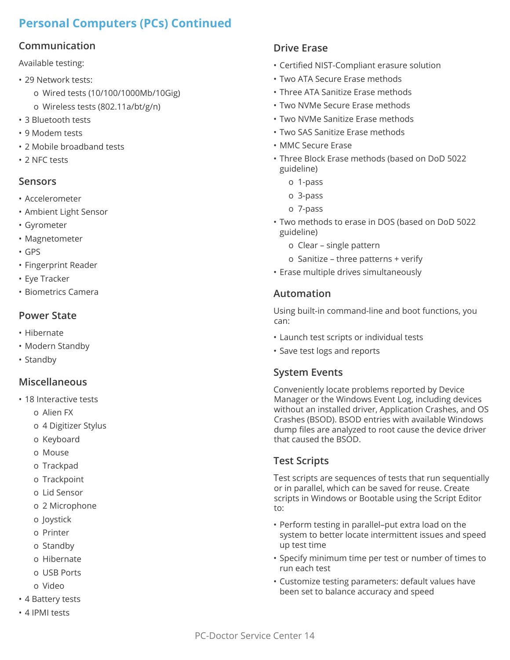## **Personal Computers (PCs) Continued**

## **Communication**

Available testing:

- 29 Network tests:
	- o Wired tests (10/100/1000Mb/10Gig)
	- o Wireless tests (802.11a/bt/g/n)
- 3 Bluetooth tests
- 9 Modem tests
- 2 Mobile broadband tests
- 2 NFC tests

### **Sensors**

- Accelerometer
- Ambient Light Sensor
- Gyrometer
- Magnetometer
- GPS
- Fingerprint Reader
- Eye Tracker
- Biometrics Camera

## **Power State**

- Hibernate
- Modern Standby
- Standby

## **Miscellaneous**

- 18 Interactive tests
	- o Alien FX
	- o 4 Digitizer Stylus
	- o Keyboard
	- o Mouse
	- o Trackpad
	- o Trackpoint
	- o Lid Sensor
	- o 2 Microphone
	- o Joystick
	- o Printer
	- o Standby
	- o Hibernate
	- o USB Ports
	- o Video
- 4 Battery tests
- 4 IPMI tests

## **Drive Erase**

- Certified NIST-Compliant erasure solution
- Two ATA Secure Erase methods
- Three ATA Sanitize Erase methods
- Two NVMe Secure Erase methods
- Two NVMe Sanitize Erase methods
- Two SAS Sanitize Erase methods
- MMC Secure Erase
- Three Block Erase methods (based on DoD 5022 guideline)
	- o 1-pass
	- o 3-pass
	- o 7-pass
- Two methods to erase in DOS (based on DoD 5022 guideline)
	- o Clear single pattern
	- o Sanitize three patterns + verify
- Erase multiple drives simultaneously

## **Automation**

Using built-in command-line and boot functions, you can:

- Launch test scripts or individual tests
- Save test logs and reports

## **System Events**

Conveniently locate problems reported by Device Manager or the Windows Event Log, including devices without an installed driver, Application Crashes, and OS Crashes (BSOD). BSOD entries with available Windows dump files are analyzed to root cause the device driver that caused the BSOD.

## **Test Scripts**

Test scripts are sequences of tests that run sequentially or in parallel, which can be saved for reuse. Create scripts in Windows or Bootable using the Script Editor to:

- Perform testing in parallel–put extra load on the system to better locate intermittent issues and speed up test time
- Specify minimum time per test or number of times to run each test
- Customize testing parameters: default values have been set to balance accuracy and speed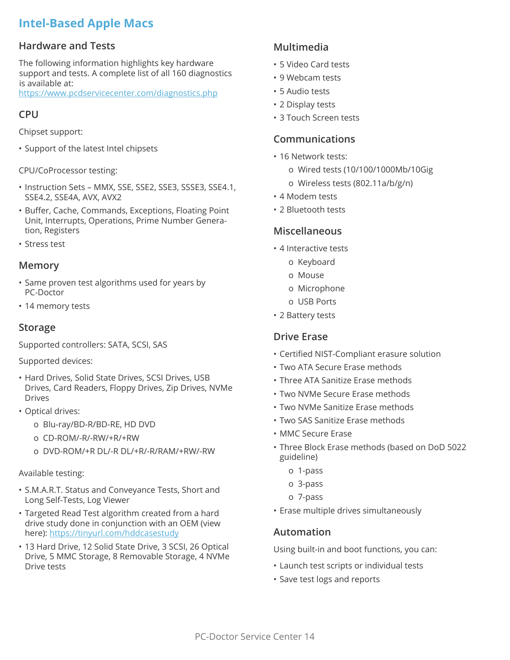## **Intel-Based Apple Macs**

### **Hardware and Tests**

The following information highlights key hardware support and tests. A complete list of all 160 diagnostics is available at:

https://www.pcdservicecenter.com/diagnostics.php.

### **CPU**

Chipset support:

• Support of the latest Intel chipsets

CPU/CoProcessor testing:

- Instruction Sets MMX, SSE, SSE2, SSE3, SSSE3, SSE4.1, SSE4.2, SSE4A, AVX, AVX2
- Buffer, Cache, Commands, Exceptions, Floating Point Unit, Interrupts, Operations, Prime Number Generation, Registers
- Stress test

#### **Memory**

- Same proven test algorithms used for years by PC-Doctor
- 14 memory tests

#### **Storage**

Supported controllers: SATA, SCSI, SAS

Supported devices:

- Hard Drives, Solid State Drives, SCSI Drives, USB Drives, Card Readers, Floppy Drives, Zip Drives, NVMe Drives
- Optical drives:
	- o Blu-ray/BD-R/BD-RE, HD DVD
	- o CD-ROM/-R/-RW/+R/+RW
	- o DVD-ROM/+R DL/-R DL/+R/-R/RAM/+RW/-RW

#### Available testing:

- S.M.A.R.T. Status and Conveyance Tests, Short and Long Self-Tests, Log Viewer
- Targeted Read Test algorithm created from a hard drive study done in conjunction with an OEM (view here): https://tinyurl.com/hddcasestudy
- 13 Hard Drive, 12 Solid State Drive, 3 SCSI, 26 Optical Drive, 5 MMC Storage, 8 Removable Storage, 4 NVMe Drive tests

## **Multimedia**

- 5 Video Card tests
- 9 Webcam tests
- 5 Audio tests
- 2 Display tests
- 3 Touch Screen tests

#### **Communications**

- 16 Network tests:
	- o Wired tests (10/100/1000Mb/10Gig
	- o Wireless tests (802.11a/b/g/n)
- 4 Modem tests
- 2 Bluetooth tests

#### **Miscellaneous**

- 4 Interactive tests
	- o Keyboard
	- o Mouse
	- o Microphone
	- o USB Ports
- 2 Battery tests

#### **Drive Erase**

- Certified NIST-Compliant erasure solution
- Two ATA Secure Erase methods
- Three ATA Sanitize Erase methods
- Two NVMe Secure Erase methods
- Two NVMe Sanitize Erase methods
- Two SAS Sanitize Erase methods
- MMC Secure Erase
- Three Block Erase methods (based on DoD 5022 guideline)
	- o 1-pass
	- o 3-pass
	- o 7-pass
- Erase multiple drives simultaneously

#### **Automation**

Using built-in and boot functions, you can:

- Launch test scripts or individual tests
- Save test logs and reports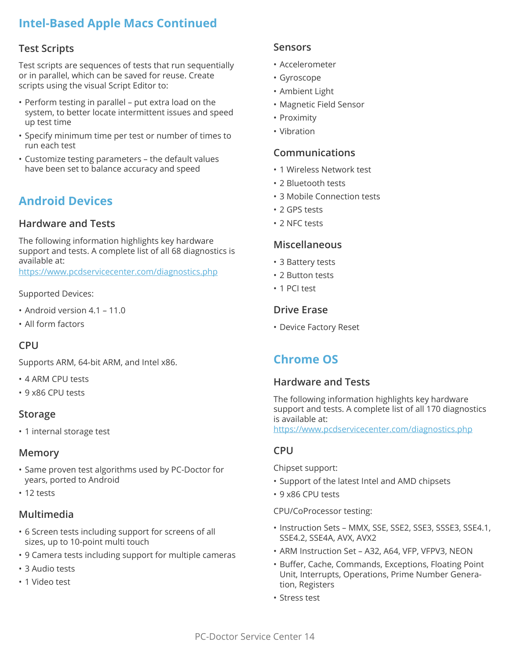## **Intel-Based Apple Macs Continued**

#### **Test Scripts**

Test scripts are sequences of tests that run sequentially or in parallel, which can be saved for reuse. Create scripts using the visual Script Editor to:

- Perform testing in parallel put extra load on the system, to better locate intermittent issues and speed up test time
- Specify minimum time per test or number of times to run each test
- Customize testing parameters the default values have been set to balance accuracy and speed

## **Android Devices**

#### **Hardware and Tests**

The following information highlights key hardware support and tests. A complete list of all 68 diagnostics is available at:

https://www.pcdservicecenter.com/diagnostics.php.

#### Supported Devices:

- Android version 4.1 11.0
- All form factors

### **CPU**

Supports ARM, 64-bit ARM, and Intel x86.

- 4 ARM CPU tests
- 9 x86 CPU tests

#### **Storage**

• 1 internal storage test

#### **Memory**

- Same proven test algorithms used by PC-Doctor for years, ported to Android
- 12 tests

#### **Multimedia**

- 6 Screen tests including support for screens of all sizes, up to 10-point multi touch
- 9 Camera tests including support for multiple cameras
- 3 Audio tests
- 1 Video test

#### **Sensors**

- Accelerometer
- Gyroscope
- Ambient Light
- Magnetic Field Sensor
- Proximity
- Vibration

#### **Communications**

- 1 Wireless Network test
- 2 Bluetooth tests
- 3 Mobile Connection tests
- 2 GPS tests
- 2 NFC tests

#### **Miscellaneous**

- 3 Battery tests
- 2 Button tests
- 1 PCI test

#### **Drive Erase**

• Device Factory Reset

## **Chrome OS**

#### **Hardware and Tests**

The following information highlights key hardware support and tests. A complete list of all 170 diagnostics is available at:

https://www.pcdservicecenter.com/diagnostics.php

#### **CPU**

Chipset support:

- Support of the latest Intel and AMD chipsets
- 9 x86 CPU tests

CPU/CoProcessor testing:

- Instruction Sets MMX, SSE, SSE2, SSE3, SSSE3, SSE4.1, SSE4.2, SSE4A, AVX, AVX2
- ARM Instruction Set A32, A64, VFP, VFPV3, NEON
- Buffer, Cache, Commands, Exceptions, Floating Point Unit, Interrupts, Operations, Prime Number Generation, Registers
- Stress test